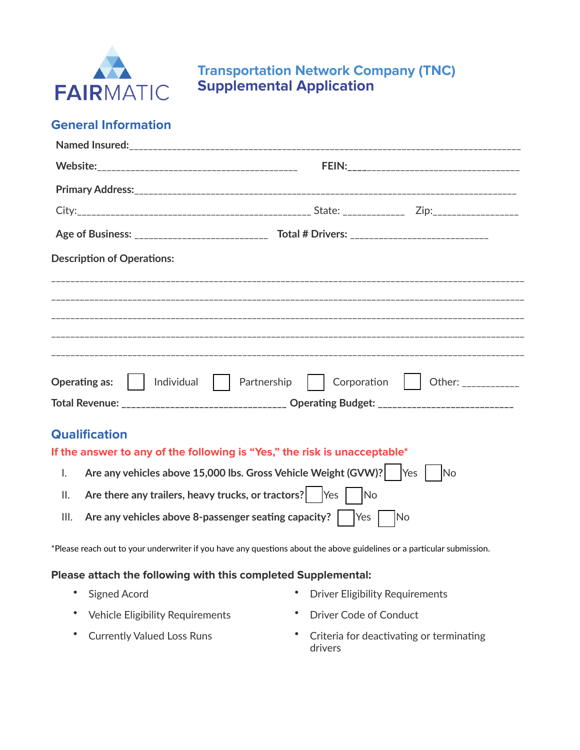

## **Transportation Network Company (TNC) Supplemental Application**

## **General Information**

| <b>Description of Operations:</b>                                               |  |                                                                                              |  |  |  |  |
|---------------------------------------------------------------------------------|--|----------------------------------------------------------------------------------------------|--|--|--|--|
|                                                                                 |  |                                                                                              |  |  |  |  |
|                                                                                 |  |                                                                                              |  |  |  |  |
|                                                                                 |  |                                                                                              |  |  |  |  |
|                                                                                 |  |                                                                                              |  |  |  |  |
|                                                                                 |  | Operating as:     Individual     Partnership     Corporation     Other: _________            |  |  |  |  |
|                                                                                 |  | Total Revenue: _______________________________ Operating Budget: ___________________________ |  |  |  |  |
| <b>Qualification</b>                                                            |  |                                                                                              |  |  |  |  |
|                                                                                 |  | If the answer to any of the following is "Yes," the risk is unacceptable*                    |  |  |  |  |
| Are any vehicles above 15,000 lbs. Gross Vehicle Weight (GVW)?   Yes   No<br>Ι. |  |                                                                                              |  |  |  |  |
| Ш.                                                                              |  |                                                                                              |  |  |  |  |

III. Are any vehicles above 8-passenger seating capacity? **Parage Allense 18** No

\*Please reach out to your underwriter if you have any questions about the above guidelines or a particular submission.

## **Please attach the following with this completed Supplemental:**

- 
- Vehicle Eligibility Requirements Driver Code of Conduct
- 
- Signed Acord  **Driver Eligibility Requirements** 
	-
- Currently Valued Loss Runs Criteria for deactivating or terminating drivers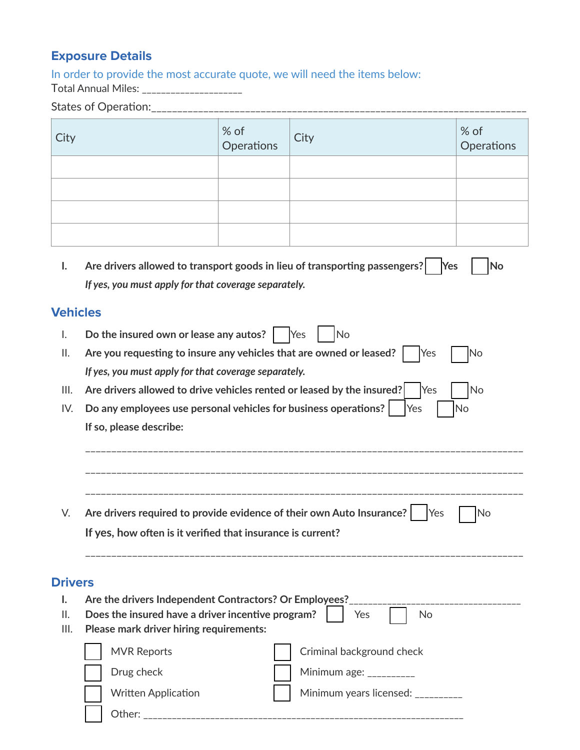## **Exposure Details**

In order to provide the most accurate quote, we will need the items below:

States of Opera6on:\_\_\_\_\_\_\_\_\_\_\_\_\_\_\_\_\_\_\_\_\_\_\_\_\_\_\_\_\_\_\_\_\_\_\_\_\_\_\_\_\_\_\_\_\_\_\_\_\_\_\_\_\_\_\_\_\_\_\_\_\_\_\_\_\_\_\_\_\_\_\_\_

Total Annual Miles: \_\_\_\_\_\_\_\_\_\_\_\_\_\_\_\_\_\_\_\_\_

| City            |                                                                                                                                                    | % of<br>Operations | City                       | % of<br>Operations |  |  |  |  |
|-----------------|----------------------------------------------------------------------------------------------------------------------------------------------------|--------------------|----------------------------|--------------------|--|--|--|--|
|                 |                                                                                                                                                    |                    |                            |                    |  |  |  |  |
|                 |                                                                                                                                                    |                    |                            |                    |  |  |  |  |
|                 |                                                                                                                                                    |                    |                            |                    |  |  |  |  |
|                 |                                                                                                                                                    |                    |                            |                    |  |  |  |  |
|                 |                                                                                                                                                    |                    |                            |                    |  |  |  |  |
| I.              | Are drivers allowed to transport goods in lieu of transporting passengers?<br>Yes<br>No                                                            |                    |                            |                    |  |  |  |  |
|                 | If yes, you must apply for that coverage separately.                                                                                               |                    |                            |                    |  |  |  |  |
| <b>Vehicles</b> |                                                                                                                                                    |                    |                            |                    |  |  |  |  |
| Ι.              | Do the insured own or lease any autos?   Yes<br>No                                                                                                 |                    |                            |                    |  |  |  |  |
| Ш.              | Are you requesting to insure any vehicles that are owned or leased?                                                                                |                    | Yes                        | No                 |  |  |  |  |
|                 | If yes, you must apply for that coverage separately.<br>Are drivers allowed to drive vehicles rented or leased by the insured?<br><b>No</b><br>Yes |                    |                            |                    |  |  |  |  |
| III.            |                                                                                                                                                    |                    |                            |                    |  |  |  |  |
| IV.             | Do any employees use personal vehicles for business operations?<br>No<br><b>Yes</b>                                                                |                    |                            |                    |  |  |  |  |
|                 | If so, please describe:                                                                                                                            |                    |                            |                    |  |  |  |  |
|                 |                                                                                                                                                    |                    |                            |                    |  |  |  |  |
|                 |                                                                                                                                                    |                    |                            |                    |  |  |  |  |
|                 |                                                                                                                                                    |                    |                            |                    |  |  |  |  |
| V.              | Are drivers required to provide evidence of their own Auto Insurance?                                                                              |                    | Yes                        | No                 |  |  |  |  |
|                 | If yes, how often is it verified that insurance is current?                                                                                        |                    |                            |                    |  |  |  |  |
|                 |                                                                                                                                                    |                    |                            |                    |  |  |  |  |
|                 |                                                                                                                                                    |                    |                            |                    |  |  |  |  |
| <b>Drivers</b>  |                                                                                                                                                    |                    |                            |                    |  |  |  |  |
| I.              | Are the drivers Independent Contractors? Or Employees?                                                                                             |                    |                            |                    |  |  |  |  |
| Ш.<br>III.      | Does the insured have a driver incentive program?<br>Please mark driver hiring requirements:                                                       |                    | No<br>Yes                  |                    |  |  |  |  |
|                 | <b>MVR Reports</b>                                                                                                                                 |                    | Criminal background check  |                    |  |  |  |  |
|                 |                                                                                                                                                    |                    |                            |                    |  |  |  |  |
|                 | Drug check                                                                                                                                         |                    | Minimum age: $\frac{1}{2}$ |                    |  |  |  |  |
|                 | <b>Written Application</b>                                                                                                                         |                    | Minimum years licensed:    |                    |  |  |  |  |

[ ] Other: \_\_\_\_\_\_\_\_\_\_\_\_\_\_\_\_\_\_\_\_\_\_\_\_\_\_\_\_\_\_\_\_\_\_\_\_\_\_\_\_\_\_\_\_\_\_\_\_\_\_\_\_\_\_\_\_\_\_\_\_\_\_\_\_\_\_\_